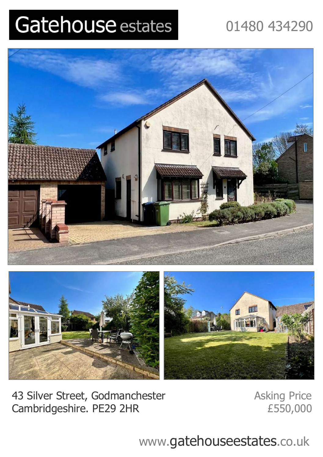## Gatehouse estates

## 01480 434290





43 Silver Street, Godmanchester Asking Price Cambridgeshire. PE29 2HR *£*550,000

www.gatehouseestates.co.uk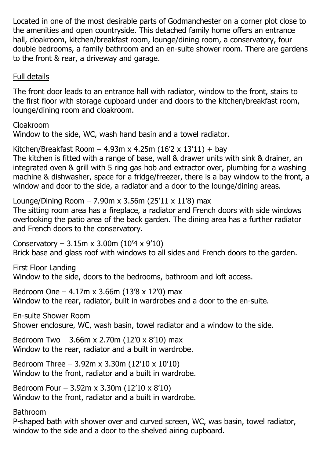Located in one of the most desirable parts of Godmanchester on a corner plot close to the amenities and open countryside. This detached family home offers an entrance hall, cloakroom, kitchen/breakfast room, lounge/dining room, a conservatory, four double bedrooms, a family bathroom and an en-suite shower room. There are gardens to the front & rear, a driveway and garage.

Full details

The front door leads to an entrance hall with radiator, window to the front, stairs to the first floor with storage cupboard under and doors to the kitchen/breakfast room, lounge/dining room and cloakroom.

Cloakroom Window to the side, WC, wash hand basin and a towel radiator.

Kitchen/Breakfast Room - 4.93m x 4.25m (16'2 x 13'11) + bay The kitchen is fitted with a range of base, wall & drawer units with sink & drainer, an integrated oven & grill with 5 ring gas hob and extractor over, plumbing for a washing machine & dishwasher, space for a fridge/freezer, there is a bay window to the front, a window and door to the side, a radiator and a door to the lounge/dining areas.

Lounge/Dining Room  $-7.90$ m x 3.56m (25'11 x 11'8) max

The sitting room area has a fireplace, a radiator and French doors with side windows overlooking the patio area of the back garden. The dining area has a further radiator and French doors to the conservatory.

Conservatory –  $3.15m \times 3.00m$  (10'4 x 9'10) Brick base and glass roof with windows to all sides and French doors to the garden.

First Floor Landing Window to the side, doors to the bedrooms, bathroom and loft access.

Bedroom One – 4.17m x 3.66m (13'8 x 12'0) max Window to the rear, radiator, built in wardrobes and a door to the en-suite.

En-suite Shower Room Shower enclosure, WC, wash basin, towel radiator and a window to the side.

Bedroom Two – 3.66m x 2.70m (12'0 x 8'10) max Window to the rear, radiator and a built in wardrobe.

Bedroom Three – 3.92m x 3.30m (12'10 x 10'10) Window to the front, radiator and a built in wardrobe.

Bedroom Four – 3.92m x 3.30m (12'10 x 8'10) Window to the front, radiator and a built in wardrobe.

Bathroom

P-shaped bath with shower over and curved screen, WC, was basin, towel radiator, window to the side and a door to the shelved airing cupboard.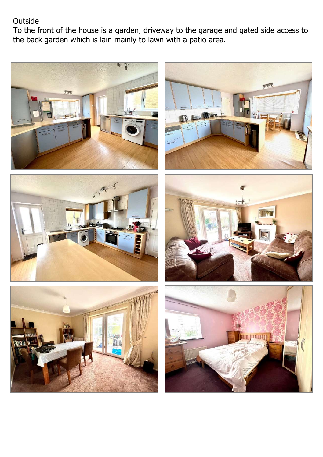## Outside

To the front of the house is a garden, driveway to the garage and gated side access to the back garden which is lain mainly to lawn with a patio area.











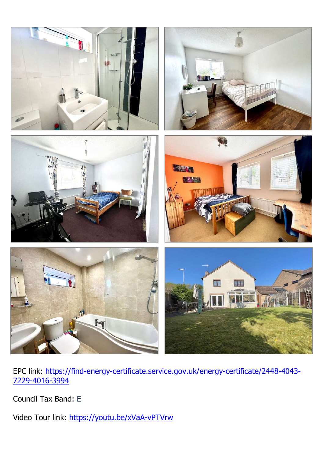

EPC link: https://find-energy-certificate.service.gov.uk/energy-certificate/2448-4043- 7229-4016-3994

Council Tax Band: E

Video Tour link: https://youtu.be/xVaA-vPTVrw